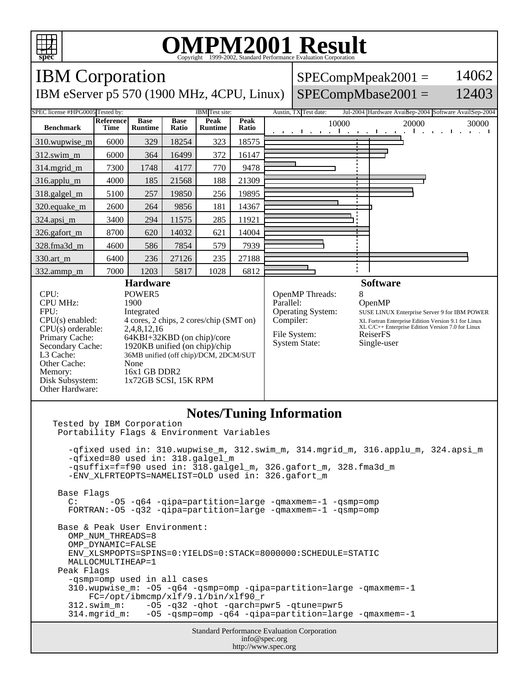

## **OMPM2001 Result** Copyright 1999-2002, Standard Performance Evaluation Corporation

IBM Corporation IBM eServer p5 570 (1900 MHz, 4CPU, Linux)  $SPECompMpeak2001 =$  $SPECompMbase2001 =$ 14062 12403 SPEC license #HPG0005 Tested by: IBM Test site: Austin, TX Test date: Jul-2004 Hardware AvailSep-2004 Software AvailSep-2004 **Benchmark Reference Time Base Runtime Base Ratio Peak Runtime Peak Peak**<br>**Ratio** 10000 20000 30000 310.wupwise\_m 6000 329 18254 323 18575 312.swim\_m 6000 364 16499 372 16147 314.mgrid\_m | 7300 | 1748 | 4177 | 770 | 9478 316.applu\_m 4000 185 21568 188 21309 318.galgel\_m | 5100 | 257 | 19850 | 256 | 19895 320.equake\_m 2600 264 9856 181 14367 324.apsi\_m 3400 294 11575 285 11921 326.gafort\_m | 8700 620 14032 621 14004 328.fma3d\_m 4600 586 7854 579 7939 330.art\_m 6400 236 27126 235 27188 332.ammp\_m 7000 1203 5817 1028 6812 **Hardware** CPU: POWER5<br>
CPU MHz: 1900 CPU MHz: FPU: Integrated  $CPU(s)$  enabled:  $4$  cores, 2 chips, 2 cores/chip (SMT on)<br> $CPU(s)$  orderable:  $2,4,8,12,16$ CPU(s) orderable:<br>Primary Cache: Primary Cache: 64KBI+32KBD (on chip)/core<br>Secondary Cache: 1920KB unified (on chip)/chip 1920KB unified (on chip)/chip L3 Cache: 36MB unified (off chip)/DCM, 2DCM/SUT Other Cache: None Memory: 16x1 GB DDR2<br>Disk Subsystem: 1x72GB SCSI, 1 1x72GB SCSI, 15K RPM Other Hardware: **Software** OpenMP Threads: 8<br>Parallel: 6 OpenMP Operating System: SUSE LINUX Enterprise Server 9 for IBM POWER Compiler: XL Fortran Enterprise Edition Version 9.1 for Linux XL C/C++ Enterprise Edition Version 7.0 for Linux File System: ReiserFS System State: Single-user **Notes/Tuning Information** Tested by IBM Corporation Portability Flags & Environment Variables -qfixed used in: 310.wupwise\_m, 312.swim\_m, 314.mgrid\_m, 316.applu\_m, 324.apsi\_m -qfixed=80 used in: 318.galgel\_m -qsuffix=f=f90 used in: 318.galgel\_m, 326.gafort\_m, 328.fma3d\_m -ENV\_XLFRTEOPTS=NAMELIST=OLD used in: 326.gafort\_m Base Flags C: -O5 -q64 -qipa=partition=large -qmaxmem=-1 -qsmp=omp FORTRAN:-O5 -q32 -qipa=partition=large -qmaxmem=-1 -qsmp=omp Base & Peak User Environment: OMP\_NUM\_THREADS=8 OMP\_DYNAMIC=FALSE ENV\_XLSMPOPTS=SPINS=0:YIELDS=0:STACK=8000000:SCHEDULE=STATIC MALLOCMULTIHEAP=1 Peak Flags -qsmp=omp used in all cases 310.wupwise\_m: -O5 -q64 -qsmp=omp -qipa=partition=large -qmaxmem=-1 FC=/opt/ibmcmp/xlf/9.1/bin/xlf90\_r 312.swim\_m: -O5 -q32 -qhot -qarch=pwr5 -qtune=pwr5 -05 -qsmp=omp -q64 -qipa=partition=large -qmaxmem=-1

> Standard Performance Evaluation Corporation info@spec.org http://www.spec.org